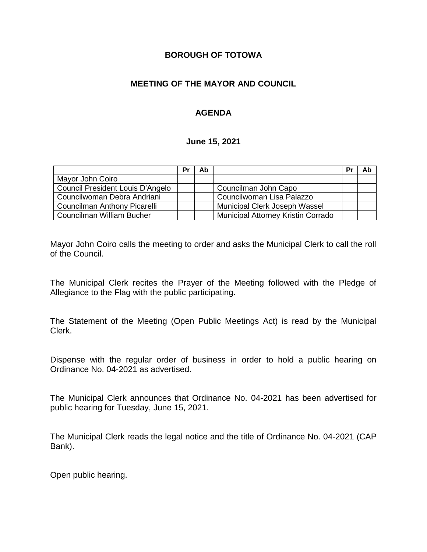## **BOROUGH OF TOTOWA**

## **MEETING OF THE MAYOR AND COUNCIL**

# **AGENDA**

#### **June 15, 2021**

|                                  | Pr | Ab |                                    | Pr | Ab |
|----------------------------------|----|----|------------------------------------|----|----|
| Mayor John Coiro                 |    |    |                                    |    |    |
| Council President Louis D'Angelo |    |    | Councilman John Capo               |    |    |
| Councilwoman Debra Andriani      |    |    | Councilwoman Lisa Palazzo          |    |    |
| Councilman Anthony Picarelli     |    |    | Municipal Clerk Joseph Wassel      |    |    |
| Councilman William Bucher        |    |    | Municipal Attorney Kristin Corrado |    |    |

Mayor John Coiro calls the meeting to order and asks the Municipal Clerk to call the roll of the Council.

The Municipal Clerk recites the Prayer of the Meeting followed with the Pledge of Allegiance to the Flag with the public participating.

The Statement of the Meeting (Open Public Meetings Act) is read by the Municipal Clerk.

Dispense with the regular order of business in order to hold a public hearing on Ordinance No. 04-2021 as advertised.

The Municipal Clerk announces that Ordinance No. 04-2021 has been advertised for public hearing for Tuesday, June 15, 2021.

The Municipal Clerk reads the legal notice and the title of Ordinance No. 04-2021 (CAP Bank).

Open public hearing.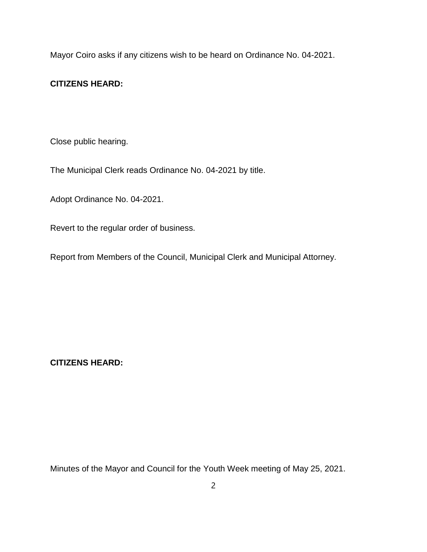Mayor Coiro asks if any citizens wish to be heard on Ordinance No. 04-2021.

## **CITIZENS HEARD:**

Close public hearing.

The Municipal Clerk reads Ordinance No. 04-2021 by title.

Adopt Ordinance No. 04-2021.

Revert to the regular order of business.

Report from Members of the Council, Municipal Clerk and Municipal Attorney.

**CITIZENS HEARD:**

Minutes of the Mayor and Council for the Youth Week meeting of May 25, 2021.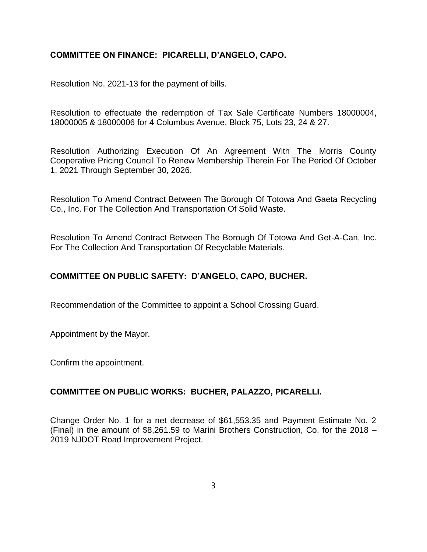#### **COMMITTEE ON FINANCE: PICARELLI, D'ANGELO, CAPO.**

Resolution No. 2021-13 for the payment of bills.

Resolution to effectuate the redemption of Tax Sale Certificate Numbers 18000004, 18000005 & 18000006 for 4 Columbus Avenue, Block 75, Lots 23, 24 & 27.

Resolution Authorizing Execution Of An Agreement With The Morris County Cooperative Pricing Council To Renew Membership Therein For The Period Of October 1, 2021 Through September 30, 2026.

Resolution To Amend Contract Between The Borough Of Totowa And Gaeta Recycling Co., Inc. For The Collection And Transportation Of Solid Waste.

Resolution To Amend Contract Between The Borough Of Totowa And Get-A-Can, Inc. For The Collection And Transportation Of Recyclable Materials.

## **COMMITTEE ON PUBLIC SAFETY: D'ANGELO, CAPO, BUCHER.**

Recommendation of the Committee to appoint a School Crossing Guard.

Appointment by the Mayor.

Confirm the appointment.

#### **COMMITTEE ON PUBLIC WORKS: BUCHER, PALAZZO, PICARELLI.**

Change Order No. 1 for a net decrease of \$61,553.35 and Payment Estimate No. 2 (Final) in the amount of \$8,261.59 to Marini Brothers Construction, Co. for the 2018 – 2019 NJDOT Road Improvement Project.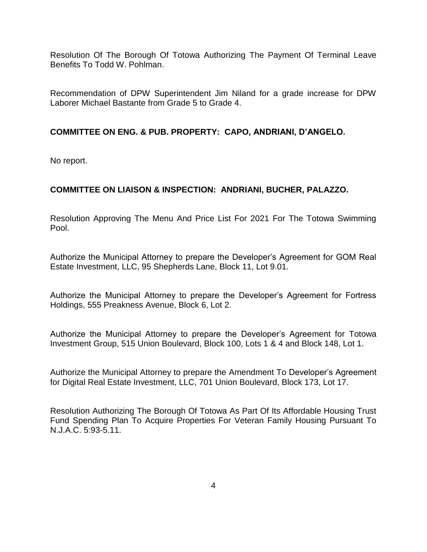Resolution Of The Borough Of Totowa Authorizing The Payment Of Terminal Leave Benefits To Todd W. Pohlman.

Recommendation of DPW Superintendent Jim Niland for a grade increase for DPW Laborer Michael Bastante from Grade 5 to Grade 4.

## **COMMITTEE ON ENG. & PUB. PROPERTY: CAPO, ANDRIANI, D'ANGELO.**

No report.

# **COMMITTEE ON LIAISON & INSPECTION: ANDRIANI, BUCHER, PALAZZO.**

Resolution Approving The Menu And Price List For 2021 For The Totowa Swimming Pool.

Authorize the Municipal Attorney to prepare the Developer's Agreement for GOM Real Estate Investment, LLC, 95 Shepherds Lane, Block 11, Lot 9.01.

Authorize the Municipal Attorney to prepare the Developer's Agreement for Fortress Holdings, 555 Preakness Avenue, Block 6, Lot 2.

Authorize the Municipal Attorney to prepare the Developer's Agreement for Totowa Investment Group, 515 Union Boulevard, Block 100, Lots 1 & 4 and Block 148, Lot 1.

Authorize the Municipal Attorney to prepare the Amendment To Developer's Agreement for Digital Real Estate Investment, LLC, 701 Union Boulevard, Block 173, Lot 17.

Resolution Authorizing The Borough Of Totowa As Part Of Its Affordable Housing Trust Fund Spending Plan To Acquire Properties For Veteran Family Housing Pursuant To N.J.A.C. 5:93-5.11.